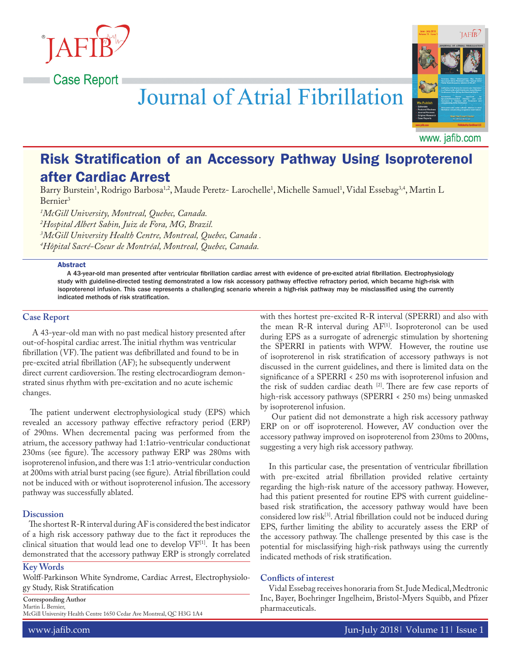

# Journal of Atrial Fibrillation



www. jafib.com

# Risk Stratification of an Accessory Pathway Using Isoproterenol after Cardiac Arrest

Barry Burstein<sup>1</sup>, Rodrigo Barbosa<sup>1,2</sup>, Maude Peretz- Larochelle<sup>1</sup>, Michelle Samuel<sup>1</sup>, Vidal Essebag<sup>3,4</sup>, Martin L Bernier3

 *McGill University, Montreal, Quebec, Canada. Hospital Albert Sabin, Juiz de Fora, MG, Brazil. McGill University Health Centre, Montreal, Quebec, Canada . Hôpital Sacré-Coeur de Montréal, Montreal, Quebec, Canada.*

#### **Abstract**

A 43-year-old man presented after ventricular fibrillation cardiac arrest with evidence of pre-excited atrial fibrillation. Electrophysiology study with guideline-directed testing demonstrated a low risk accessory pathway effective refractory period, which became high-risk with isoproterenol infusion. This case represents a challenging scenario wherein a high-risk pathway may be misclassified using the currently indicated methods of risk stratification.

### **Case Report**

A 43-year-old man with no past medical history presented after out-of-hospital cardiac arrest. The initial rhythm was ventricular fibrillation (VF). The patient was defibrillated and found to be in pre-excited atrial fibrillation (AF); he subsequently underwent direct current cardioversion. The resting electrocardiogram demonstrated sinus rhythm with pre-excitation and no acute ischemic changes.

The patient underwent electrophysiological study (EPS) which revealed an accessory pathway effective refractory period (ERP) of 290ms. When decremental pacing was performed from the atrium, the accessory pathway had 1:1atrio-ventricular conductionat 230ms (see figure). The accessory pathway ERP was 280ms with isoproterenol infusion, and there was 1:1 atrio-ventricular conduction at 200ms with atrial burst pacing (see figure). Atrial fibrillation could not be induced with or without isoproterenol infusion. The accessory pathway was successfully ablated.

# **Discussion**

 The shortest R-R interval during AF is considered the best indicator of a high risk accessory pathway due to the fact it reproduces the clinical situation that would lead one to develop VF[1]. It has been demonstrated that the accessory pathway ERP is strongly correlated

#### **Key Words**

Wolff-Parkinson White Syndrome, Cardiac Arrest, Electrophysiology Study, Risk Stratification

**Corresponding Author** Martin L Bernier, McGill University Health Centre 1650 Cedar Ave Montreal, QC H3G 1A4 with thes hortest pre-excited R-R interval (SPERRI) and also with the mean R-R interval during AF<sup>[1]</sup>. Isoproteronol can be used during EPS as a surrogate of adrenergic stimulation by shortening the SPERRI in patients with WPW. However, the routine use of isoproterenol in risk stratification of accessory pathways is not discussed in the current guidelines, and there is limited data on the significance of a SPERRI < 250 ms with isoproterenol infusion and the risk of sudden cardiac death [2]. There are few case reports of high-risk accessory pathways (SPERRI < 250 ms) being unmasked by isoproterenol infusion.

 Our patient did not demonstrate a high risk accessory pathway ERP on or off isoproterenol. However, AV conduction over the accessory pathway improved on isoproterenol from 230ms to 200ms, suggesting a very high risk accessory pathway.

 In this particular case, the presentation of ventricular fibrillation with pre-excited atrial fibrillation provided relative certainty regarding the high-risk nature of the accessory pathway. However, had this patient presented for routine EPS with current guidelinebased risk stratification, the accessory pathway would have been considered low risk<sup>[3]</sup>. Atrial fibrillation could not be induced during EPS, further limiting the ability to accurately assess the ERP of the accessory pathway. The challenge presented by this case is the potential for misclassifying high-risk pathways using the currently indicated methods of risk stratification.

# **Conflicts of interest**

 Vidal Essebag receives honoraria from St. Jude Medical, Medtronic Inc, Bayer, Boehringer Ingelheim, Bristol-Myers Squibb, and Pfizer pharmaceuticals.